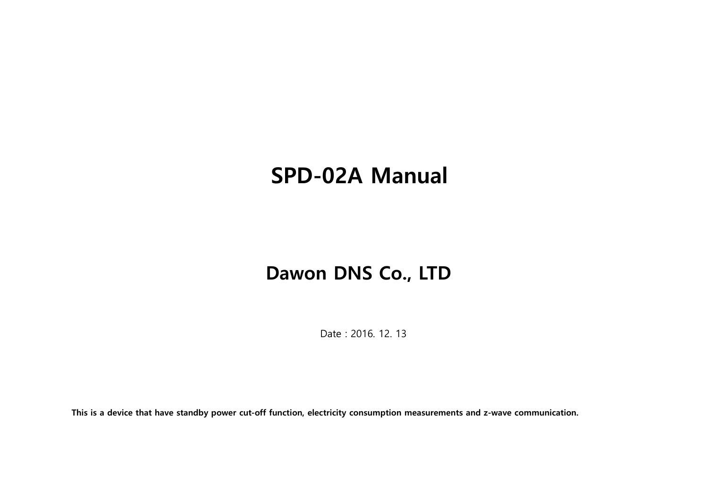# SPD-02A Manual

## Dawon DNS Co., LTD

Date : 2016. 12. 13

This is a device that have standby power cut-off function, electricity consumption measurements and z-wave communication.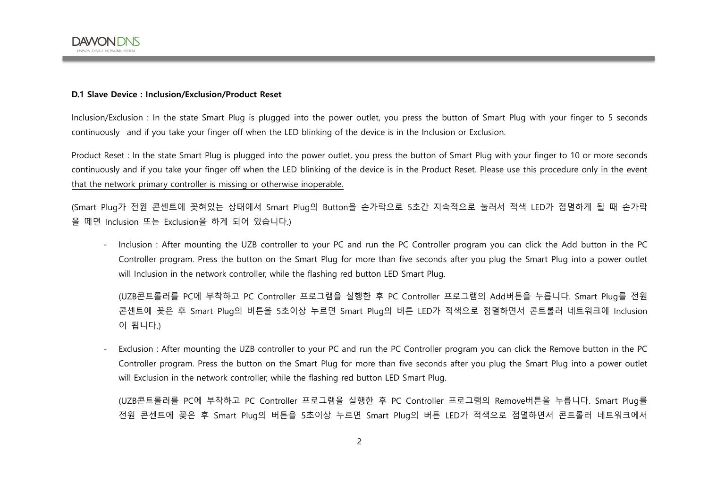

#### D.1 Slave Device : Inclusion/Exclusion/Product Reset

Inclusion/Exclusion : In the state Smart Plug is plugged into the power outlet, you press the button of Smart Plug with your finger to 5 seconds continuously and if you take your finger off when the LED blinking of the device is in the Inclusion or Exclusion.

Product Reset : In the state Smart Plug is plugged into the power outlet, you press the button of Smart Plug with your finger to 10 or more seconds continuously and if you take your finger off when the LED blinking of the device is in the Product Reset. Please use this procedure only in the event that the network primary controller is missing or otherwise inoperable.

(Smart Plug가 전원 콘센트에 꽂혀있는 상태에서 Smart Plug의 Button을 손가락으로 5초간 지속적으로 눌러서 적색 LED가 점멸하게 될 때 손가락 을 떼면 Inclusion 또는 Exclusion을 하게 되어 있습니다.)

- Inclusion : After mounting the UZB controller to your PC and run the PC Controller program you can click the Add button in the PC Controller program. Press the button on the Smart Plug for more than five seconds after you plug the Smart Plug into a power outlet will Inclusion in the network controller, while the flashing red button LED Smart Plug.

(UZB콘트롤러를 PC에 부착하고 PC Controller 프로그램을 실행한 후 PC Controller 프로그램의 Add버튼을 누릅니다. Smart Plug를 전원 콘센트에 꽂은 후 Smart Plug의 버튼을 5초이상 누르면 Smart Plug의 버튼 LED가 적색으로 점멸하면서 콘트롤러 네트워크에 Inclusion 이 됩니다.)

- Exclusion : After mounting the UZB controller to your PC and run the PC Controller program you can click the Remove button in the PC Controller program. Press the button on the Smart Plug for more than five seconds after you plug the Smart Plug into a power outlet will Exclusion in the network controller, while the flashing red button LED Smart Plug.

(UZB콘트롤러를 PC에 부착하고 PC Controller 프로그램을 실행한 후 PC Controller 프로그램의 Remove버튼을 누릅니다. Smart Plug를 전원 콘센트에 꽂은 후 Smart Plug의 버튼을 5초이상 누르면 Smart Plug의 버튼 LED가 적색으로 점멸하면서 콘트롤러 네트워크에서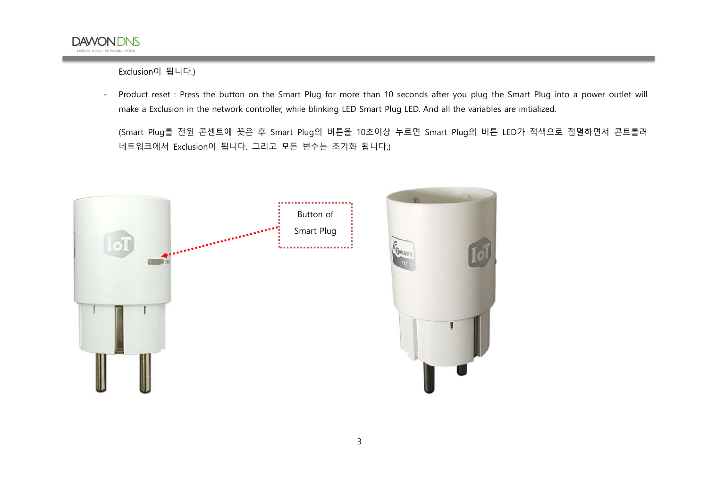

Exclusion이 됩니다.)

- Product reset : Press the button on the Smart Plug for more than 10 seconds after you plug the Smart Plug into a power outlet will make a Exclusion in the network controller, while blinking LED Smart Plug LED. And all the variables are initialized.
	- (Smart Plug를 전원 콘센트에 꽂은 후 Smart Plug의 버튼을 10초이상 누르면 Smart Plug의 버튼 LED가 적색으로 점멸하면서 콘트롤러 네트워크에서 Exclusion이 됩니다. 그리고 모든 변수는 초기화 됩니다.)



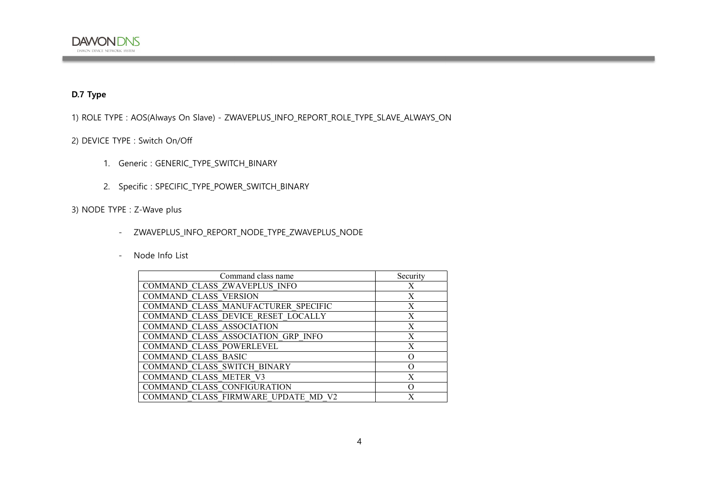#### D.7 Type

1) ROLE TYPE : AOS(Always On Slave) - ZWAVEPLUS\_INFO\_REPORT\_ROLE\_TYPE\_SLAVE\_ALWAYS\_ON

#### 2) DEVICE TYPE : Switch On/Off

- 1. Generic : GENERIC\_TYPE\_SWITCH\_BINARY
- 2. Specific : SPECIFIC\_TYPE\_POWER\_SWITCH\_BINARY

#### 3) NODE TYPE : Z-Wave plus

- ZWAVEPLUS\_INFO\_REPORT\_NODE\_TYPE\_ZWAVEPLUS\_NODE
- Node Info List

| Command class name                  | Security |
|-------------------------------------|----------|
| COMMAND CLASS ZWAVEPLUS INFO        | X        |
| <b>COMMAND CLASS VERSION</b>        | X        |
| COMMAND CLASS MANUFACTURER SPECIFIC | X        |
| COMMAND CLASS DEVICE RESET LOCALLY  | X        |
| COMMAND CLASS ASSOCIATION           | X        |
| COMMAND CLASS ASSOCIATION GRP INFO  | X        |
| <b>COMMAND CLASS POWERLEVEL</b>     | X        |
| <b>COMMAND CLASS BASIC</b>          | Ω        |
| COMMAND CLASS SWITCH BINARY         | $\Omega$ |
| <b>COMMAND CLASS METER V3</b>       | X        |
| COMMAND CLASS CONFIGURATION         | $\Omega$ |
| COMMAND CLASS FIRMWARE UPDATE MD V2 | X        |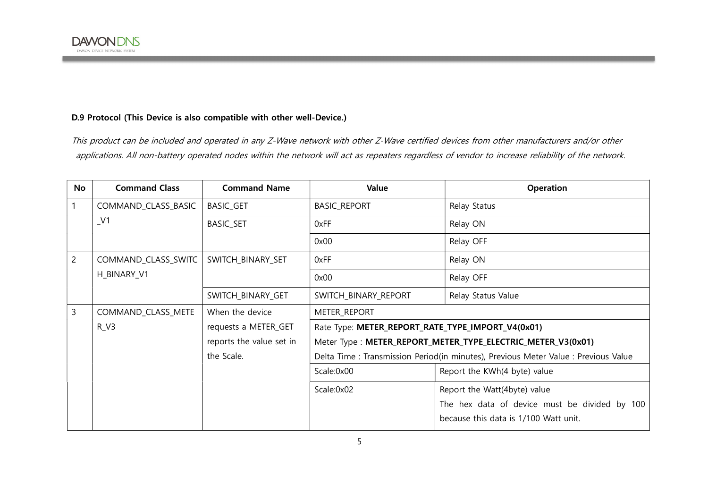#### D.9 Protocol (This Device is also compatible with other well-Device.)

This product can be included and operated in any Z-Wave network with other Z-Wave certified devices from other manufacturers and/or other applications. All non-battery operated nodes within the network will act as repeaters regardless of vendor to increase reliability of the network.

| No             | <b>Command Class</b> | <b>Command Name</b>      | Value                                                                               | Operation                                                   |
|----------------|----------------------|--------------------------|-------------------------------------------------------------------------------------|-------------------------------------------------------------|
|                | COMMAND_CLASS_BASIC  | <b>BASIC_GET</b>         | <b>BASIC_REPORT</b>                                                                 | Relay Status                                                |
|                | $_{\rm \perp}$ V1    | <b>BASIC_SET</b>         | 0xFF                                                                                | Relay ON                                                    |
|                |                      |                          | 0x00                                                                                | Relay OFF                                                   |
| $\overline{2}$ | COMMAND_CLASS_SWITC  | SWITCH_BINARY_SET        | 0xFF                                                                                | Relay ON                                                    |
|                | H_BINARY_V1          |                          | 0x00                                                                                | Relay OFF                                                   |
|                |                      | SWITCH_BINARY_GET        | SWITCH_BINARY_REPORT                                                                | Relay Status Value                                          |
| 3              | COMMAND_CLASS_METE   | When the device          | <b>METER REPORT</b>                                                                 |                                                             |
|                | $R_V3$               | requests a METER_GET     | Rate Type: METER_REPORT_RATE_TYPE_IMPORT_V4(0x01)                                   |                                                             |
|                |                      | reports the value set in |                                                                                     | Meter Type: METER_REPORT_METER_TYPE_ELECTRIC_METER_V3(0x01) |
|                |                      | the Scale.               | Delta Time : Transmission Period(in minutes), Previous Meter Value : Previous Value |                                                             |
|                |                      |                          | Scale:0x00                                                                          | Report the KWh(4 byte) value                                |
|                |                      |                          | Scale:0x02                                                                          | Report the Watt(4byte) value                                |
|                |                      |                          |                                                                                     | The hex data of device must be divided by 100               |
|                |                      |                          |                                                                                     | because this data is 1/100 Watt unit.                       |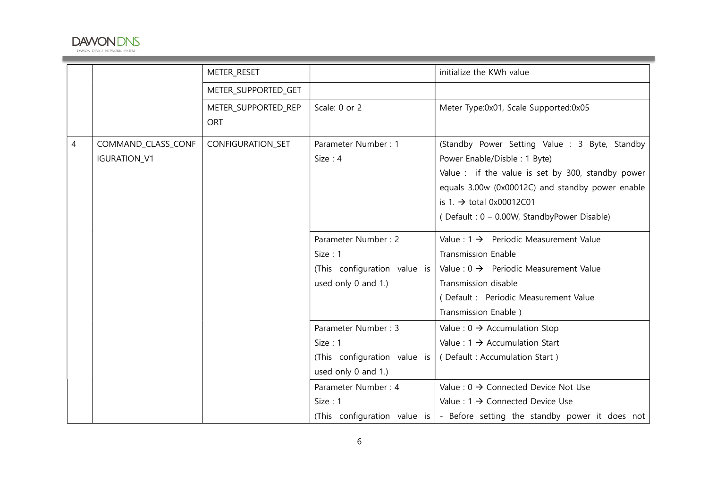

|   |                     | METER_RESET         |                              | initialize the KWh value                                                            |
|---|---------------------|---------------------|------------------------------|-------------------------------------------------------------------------------------|
|   |                     | METER_SUPPORTED_GET |                              |                                                                                     |
|   |                     | METER_SUPPORTED_REP | Scale: 0 or 2                | Meter Type:0x01, Scale Supported:0x05                                               |
|   |                     | <b>ORT</b>          |                              |                                                                                     |
| 4 | COMMAND_CLASS_CONF  | CONFIGURATION_SET   | Parameter Number: 1          | (Standby Power Setting Value : 3 Byte, Standby                                      |
|   | <b>IGURATION_V1</b> |                     | Size: 4                      | Power Enable/Disble: 1 Byte)                                                        |
|   |                     |                     |                              | Value : if the value is set by 300, standby power                                   |
|   |                     |                     |                              | equals 3.00w (0x00012C) and standby power enable                                    |
|   |                     |                     |                              | is 1. $\rightarrow$ total 0x00012C01                                                |
|   |                     |                     |                              | (Default: 0 - 0.00W, StandbyPower Disable)                                          |
|   |                     |                     | Parameter Number: 2          | Value : $1 \rightarrow$ Periodic Measurement Value                                  |
|   |                     |                     | Size: 1                      | <b>Transmission Enable</b>                                                          |
|   |                     |                     | (This configuration value is | Value : $0 \rightarrow$ Periodic Measurement Value                                  |
|   |                     |                     | used only 0 and 1.)          | Transmission disable                                                                |
|   |                     |                     |                              | (Default: Periodic Measurement Value                                                |
|   |                     |                     |                              | Transmission Enable)                                                                |
|   |                     |                     | Parameter Number: 3          | Value : $0 \rightarrow$ Accumulation Stop                                           |
|   |                     |                     | Size: 1                      | Value : $1 \rightarrow$ Accumulation Start                                          |
|   |                     |                     | (This configuration value is | (Default: Accumulation Start)                                                       |
|   |                     |                     | used only 0 and 1.)          |                                                                                     |
|   |                     |                     | Parameter Number: 4          | Value : $0 \rightarrow$ Connected Device Not Use                                    |
|   |                     |                     | Size: 1                      | Value : $1 \rightarrow$ Connected Device Use                                        |
|   |                     |                     |                              | (This configuration value is $\vert$ - Before setting the standby power it does not |

the control of the control of the control of the control of the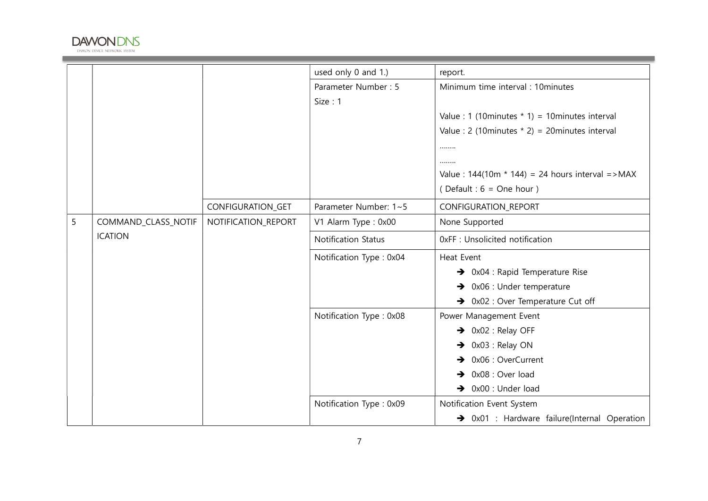

|   |                     |                     | used only 0 and 1.)        | report.                                                  |
|---|---------------------|---------------------|----------------------------|----------------------------------------------------------|
|   |                     |                     | Parameter Number: 5        | Minimum time interval : 10minutes                        |
|   |                     |                     | Size: 1                    |                                                          |
|   |                     |                     |                            | Value : 1 (10 minutes $*$ 1) = 10 minutes interval       |
|   |                     |                     |                            | Value: 2 (10 minutes $*$ 2) = 20 minutes interval        |
|   |                     |                     |                            |                                                          |
|   |                     |                     |                            |                                                          |
|   |                     |                     |                            | Value: $144(10m * 144) = 24$ hours interval = > MAX      |
|   |                     |                     |                            | (Default : $6 = One hour$ )                              |
|   |                     | CONFIGURATION_GET   | Parameter Number: 1~5      | CONFIGURATION_REPORT                                     |
| 5 | COMMAND_CLASS_NOTIF | NOTIFICATION_REPORT | V1 Alarm Type: 0x00        | None Supported                                           |
|   | <b>ICATION</b>      |                     | <b>Notification Status</b> | 0xFF : Unsolicited notification                          |
|   |                     |                     | Notification Type: 0x04    | Heat Event                                               |
|   |                     |                     |                            | $\rightarrow$ 0x04 : Rapid Temperature Rise              |
|   |                     |                     |                            | $\rightarrow$ 0x06 : Under temperature                   |
|   |                     |                     |                            | $\rightarrow$ 0x02 : Over Temperature Cut off            |
|   |                     |                     | Notification Type: 0x08    | Power Management Event                                   |
|   |                     |                     |                            | $\rightarrow$ 0x02 : Relay OFF                           |
|   |                     |                     |                            | $\rightarrow$ 0x03 : Relay ON                            |
|   |                     |                     |                            | $\rightarrow$ 0x06 : OverCurrent                         |
|   |                     |                     |                            | $\rightarrow$ 0x08 : Over load                           |
|   |                     |                     |                            | $\rightarrow$ 0x00 : Under load                          |
|   |                     |                     | Notification Type: 0x09    | Notification Event System                                |
|   |                     |                     |                            | $\rightarrow$ 0x01 : Hardware failure(Internal Operation |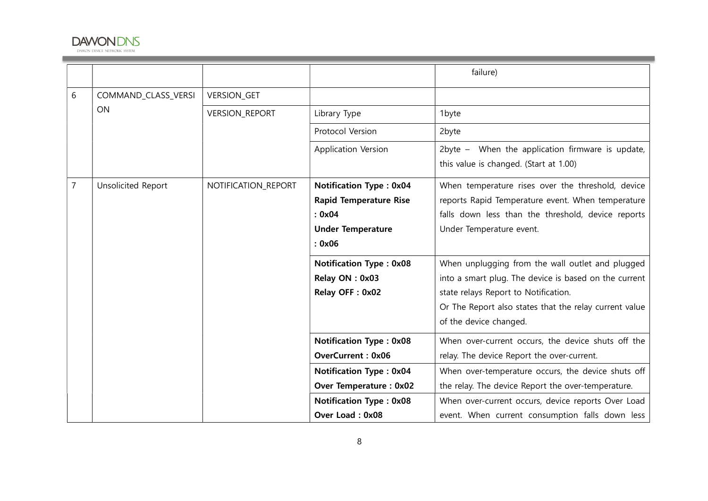

|   |                     |                       |                                                                                                                                                                                    | failure)                                                                                                                                                                                                                                                                                                              |
|---|---------------------|-----------------------|------------------------------------------------------------------------------------------------------------------------------------------------------------------------------------|-----------------------------------------------------------------------------------------------------------------------------------------------------------------------------------------------------------------------------------------------------------------------------------------------------------------------|
| 6 | COMMAND_CLASS_VERSI | <b>VERSION_GET</b>    |                                                                                                                                                                                    |                                                                                                                                                                                                                                                                                                                       |
|   | ON                  | <b>VERSION_REPORT</b> | Library Type                                                                                                                                                                       | 1byte                                                                                                                                                                                                                                                                                                                 |
|   |                     |                       | Protocol Version                                                                                                                                                                   | 2byte                                                                                                                                                                                                                                                                                                                 |
|   |                     |                       | Application Version                                                                                                                                                                | 2byte - When the application firmware is update,<br>this value is changed. (Start at 1.00)                                                                                                                                                                                                                            |
| 7 | Unsolicited Report  | NOTIFICATION_REPORT   | <b>Notification Type: 0x04</b><br><b>Rapid Temperature Rise</b><br>: 0x04<br><b>Under Temperature</b><br>: 0x06                                                                    | When temperature rises over the threshold, device<br>reports Rapid Temperature event. When temperature<br>falls down less than the threshold, device reports<br>Under Temperature event.                                                                                                                              |
|   |                     |                       | <b>Notification Type: 0x08</b><br>Relay ON: 0x03<br>Relay OFF: 0x02                                                                                                                | When unplugging from the wall outlet and plugged<br>into a smart plug. The device is based on the current<br>state relays Report to Notification.<br>Or The Report also states that the relay current value<br>of the device changed.                                                                                 |
|   |                     |                       | <b>Notification Type: 0x08</b><br><b>OverCurrent: 0x06</b><br><b>Notification Type: 0x04</b><br><b>Over Temperature: 0x02</b><br><b>Notification Type: 0x08</b><br>Over Load: 0x08 | When over-current occurs, the device shuts off the<br>relay. The device Report the over-current.<br>When over-temperature occurs, the device shuts off<br>the relay. The device Report the over-temperature.<br>When over-current occurs, device reports Over Load<br>event. When current consumption falls down less |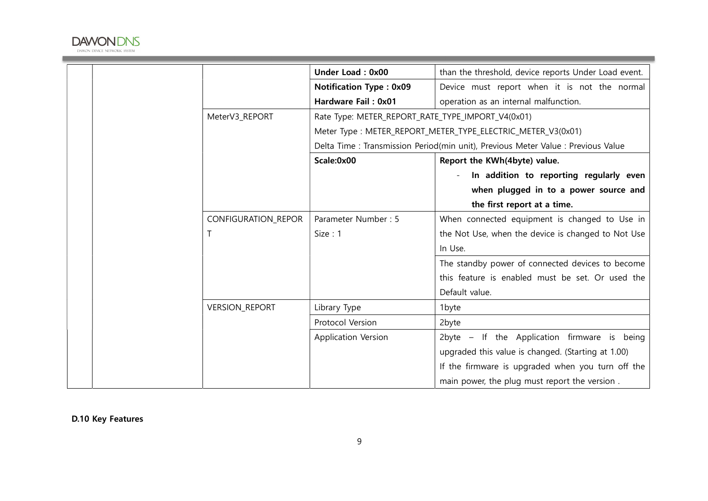

|                       | <b>Under Load: 0x00</b>                                                         | than the threshold, device reports Under Load event. |
|-----------------------|---------------------------------------------------------------------------------|------------------------------------------------------|
|                       | <b>Notification Type: 0x09</b>                                                  | Device must report when it is not the normal         |
|                       | Hardware Fail: 0x01                                                             | operation as an internal malfunction.                |
| MeterV3_REPORT        | Rate Type: METER_REPORT_RATE_TYPE_IMPORT_V4(0x01)                               |                                                      |
|                       | Meter Type: METER_REPORT_METER_TYPE_ELECTRIC_METER_V3(0x01)                     |                                                      |
|                       | Delta Time: Transmission Period(min unit), Previous Meter Value: Previous Value |                                                      |
|                       | Scale:0x00                                                                      | Report the KWh(4byte) value.                         |
|                       |                                                                                 | In addition to reporting regularly even              |
|                       |                                                                                 | when plugged in to a power source and                |
|                       |                                                                                 | the first report at a time.                          |
| CONFIGURATION_REPOR   | Parameter Number: 5                                                             | When connected equipment is changed to Use in        |
| $\top$                | Size: 1                                                                         | the Not Use, when the device is changed to Not Use   |
|                       |                                                                                 | In Use.                                              |
|                       |                                                                                 | The standby power of connected devices to become     |
|                       |                                                                                 | this feature is enabled must be set. Or used the     |
|                       |                                                                                 | Default value.                                       |
| <b>VERSION_REPORT</b> | Library Type                                                                    | 1byte                                                |
|                       | Protocol Version                                                                | 2byte                                                |
|                       | Application Version                                                             | 2byte - If the Application firmware is being         |
|                       |                                                                                 | upgraded this value is changed. (Starting at 1.00)   |
|                       |                                                                                 | If the firmware is upgraded when you turn off the    |
|                       |                                                                                 | main power, the plug must report the version.        |

the control of the control of the control of the control of the control of

D.10 Key Features